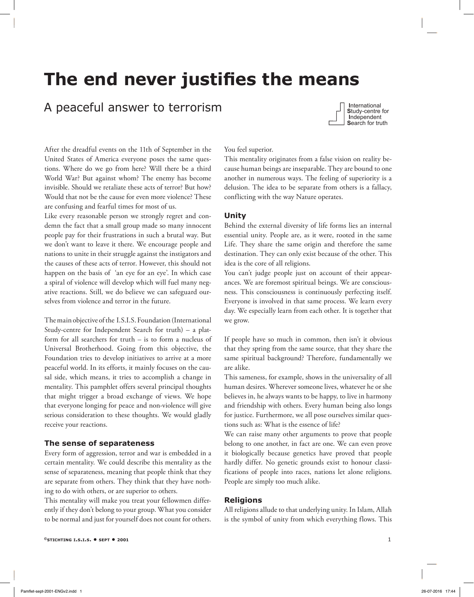# **The end never justifies the means**

# A peaceful answer to terrorism



After the dreadful events on the 11th of September in the United States of America everyone poses the same questions. Where do we go from here? Will there be a third World War? But against whom? The enemy has become invisible. Should we retaliate these acts of terror? But how? Would that not be the cause for even more violence? These are confusing and fearful times for most of us.

Like every reasonable person we strongly regret and condemn the fact that a small group made so many innocent people pay for their frustrations in such a brutal way. But we don't want to leave it there. We encourage people and nations to unite in their struggle against the instigators and the causes of these acts of terror. However, this should not happen on the basis of 'an eye for an eye'. In which case a spiral of violence will develop which will fuel many negative reactions. Still, we do believe we can safeguard ourselves from violence and terror in the future.

The main objective of the I.S.I.S. Foundation (International Study-centre for Independent Search for truth) – a platform for all searchers for truth – is to form a nucleus of Universal Brotherhood. Going from this objective, the Foundation tries to develop initiatives to arrive at a more peaceful world. In its efforts, it mainly focuses on the causal side, which means, it tries to accomplish a change in mentality. This pamphlet offers several principal thoughts that might trigger a broad exchange of views. We hope that everyone longing for peace and non-violence will give serious consideration to these thoughts. We would gladly receive your reactions.

# **The sense of separateness**

Every form of aggression, terror and war is embedded in a certain mentality. We could describe this mentality as the sense of separateness, meaning that people think that they are separate from others. They think that they have nothing to do with others, or are superior to others.

This mentality will make you treat your fellowmen differently if they don't belong to your group. What you consider to be normal and just for yourself does not count for others.

#### You feel superior.

This mentality originates from a false vision on reality because human beings are inseparable. They are bound to one another in numerous ways. The feeling of superiority is a delusion. The idea to be separate from others is a fallacy, conflicting with the way Nature operates.

#### **Unity**

Behind the external diversity of life forms lies an internal essential unity. People are, as it were, rooted in the same Life. They share the same origin and therefore the same destination. They can only exist because of the other. This idea is the core of all religions.

You can't judge people just on account of their appearances. We are foremost spiritual beings. We are consciousness. This consciousness is continuously perfecting itself. Everyone is involved in that same process. We learn every day. We especially learn from each other. It is together that we grow.

If people have so much in common, then isn't it obvious that they spring from the same source, that they share the same spiritual background? Therefore, fundamentally we are alike.

This sameness, for example, shows in the universality of all human desires. Wherever someone lives, whatever he or she believes in, he always wants to be happy, to live in harmony and friendship with others. Every human being also longs for justice. Furthermore, we all pose ourselves similar questions such as: What is the essence of life?

We can raise many other arguments to prove that people belong to one another, in fact are one. We can even prove it biologically because genetics have proved that people hardly differ. No genetic grounds exist to honour classifications of people into races, nations let alone religions. People are simply too much alike.

#### **Religions**

All religions allude to that underlying unity. In Islam, Allah is the symbol of unity from which everything flows. This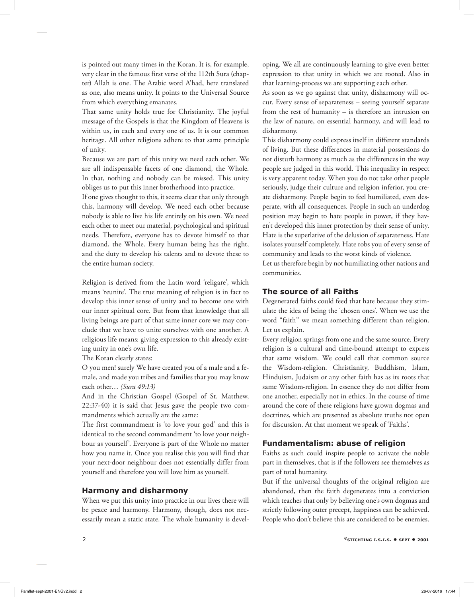is pointed out many times in the Koran. It is, for example, very clear in the famous first verse of the 112th Sura (chapter) Allah is one. The Arabic word A'had, here translated as one, also means unity. It points to the Universal Source from which everything emanates.

That same unity holds true for Christianity. The joyful message of the Gospels is that the Kingdom of Heavens is within us, in each and every one of us. It is our common heritage. All other religions adhere to that same principle of unity.

Because we are part of this unity we need each other. We are all indispensable facets of one diamond, the Whole. In that, nothing and nobody can be missed. This unity obliges us to put this inner brotherhood into practice.

If one gives thought to this, it seems clear that only through this, harmony will develop. We need each other because nobody is able to live his life entirely on his own. We need each other to meet our material, psychological and spiritual needs. Therefore, everyone has to devote himself to that diamond, the Whole. Every human being has the right, and the duty to develop his talents and to devote these to the entire human society.

Religion is derived from the Latin word 'religare', which means 'reunite'. The true meaning of religion is in fact to develop this inner sense of unity and to become one with our inner spiritual core. But from that knowledge that all living beings are part of that same inner core we may conclude that we have to unite ourselves with one another. A religious life means: giving expression to this already existing unity in one's own life.

The Koran clearly states:

O you men! surely We have created you of a male and a female, and made you tribes and families that you may know each other… *(Sura 49:13)* 

And in the Christian Gospel (Gospel of St. Matthew, 22:37-40) it is said that Jesus gave the people two commandments which actually are the same:

The first commandment is 'to love your god' and this is identical to the second commandment 'to love your neighbour as yourself'. Everyone is part of the Whole no matter how you name it. Once you realise this you will find that your next-door neighbour does not essentially differ from yourself and therefore you will love him as yourself.

# **Harmony and disharmony**

When we put this unity into practice in our lives there will be peace and harmony. Harmony, though, does not necessarily mean a static state. The whole humanity is developing. We all are continuously learning to give even better expression to that unity in which we are rooted. Also in that learning-process we are supporting each other.

As soon as we go against that unity, disharmony will occur. Every sense of separateness – seeing yourself separate from the rest of humanity – is therefore an intrusion on the law of nature, on essential harmony, and will lead to disharmony.

This disharmony could express itself in different standards of living. But these differences in material possessions do not disturb harmony as much as the differences in the way people are judged in this world. This inequality in respect is very apparent today. When you do not take other people seriously, judge their culture and religion inferior, you create disharmony. People begin to feel humiliated, even desperate, with all consequences. People in such an underdog position may begin to hate people in power, if they haven't developed this inner protection by their sense of unity. Hate is the superlative of the delusion of separateness. Hate isolates yourself completely. Hate robs you of every sense of community and leads to the worst kinds of violence.

Let us therefore begin by not humiliating other nations and communities.

# **The source of all Faiths**

Degenerated faiths could feed that hate because they stimulate the idea of being the 'chosen ones'. When we use the word "faith" we mean something different than religion. Let us explain.

Every religion springs from one and the same source. Every religion is a cultural and time-bound attempt to express that same wisdom. We could call that common source the Wisdom-religion. Christianity, Buddhism, Islam, Hinduism, Judaism or any other faith has as its roots that same Wisdom-religion. In essence they do not differ from one another, especially not in ethics. In the course of time around the core of these religions have grown dogmas and doctrines, which are presented as absolute truths not open for discussion. At that moment we speak of 'Faiths'.

# **Fundamentalism: abuse of religion**

Faiths as such could inspire people to activate the noble part in themselves, that is if the followers see themselves as part of total humanity.

But if the universal thoughts of the original religion are abandoned, then the faith degenerates into a conviction which teaches that only by believing one's own dogmas and strictly following outer precept, happiness can be achieved. People who don't believe this are considered to be enemies.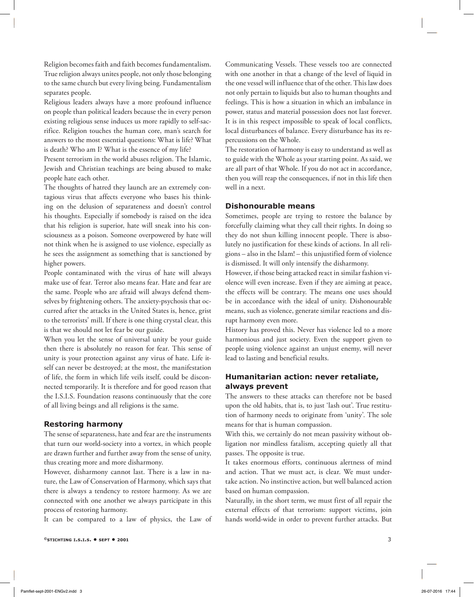Religion becomes faith and faith becomes fundamentalism. True religion always unites people, not only those belonging to the same church but every living being. Fundamentalism separates people.

Religious leaders always have a more profound influence on people than political leaders because the in every person existing religious sense induces us more rapidly to self-sacrifice. Religion touches the human core, man's search for answers to the most essential questions: What is life? What is death? Who am I? What is the essence of my life?

Present terrorism in the world abuses religion. The Islamic, Jewish and Christian teachings are being abused to make people hate each other.

The thoughts of hatred they launch are an extremely contagious virus that affects everyone who bases his thinking on the delusion of separateness and doesn't control his thoughts. Especially if somebody is raised on the idea that his religion is superior, hate will sneak into his consciousness as a poison. Someone overpowered by hate will not think when he is assigned to use violence, especially as he sees the assignment as something that is sanctioned by higher powers.

People contaminated with the virus of hate will always make use of fear. Terror also means fear. Hate and fear are the same. People who are afraid will always defend themselves by frightening others. The anxiety-psychosis that occurred after the attacks in the United States is, hence, grist to the terrorists' mill. If there is one thing crystal clear, this is that we should not let fear be our guide.

When you let the sense of universal unity be your guide then there is absolutely no reason for fear. This sense of unity is your protection against any virus of hate. Life itself can never be destroyed; at the most, the manifestation of life, the form in which life veils itself, could be disconnected temporarily. It is therefore and for good reason that the I.S.I.S. Foundation reasons continuously that the core of all living beings and all religions is the same.

#### **Restoring harmony**

The sense of separateness, hate and fear are the instruments that turn our world-society into a vortex, in which people are drawn further and further away from the sense of unity, thus creating more and more disharmony.

However, disharmony cannot last. There is a law in nature, the Law of Conservation of Harmony, which says that there is always a tendency to restore harmony. As we are connected with one another we always participate in this process of restoring harmony.

It can be compared to a law of physics, the Law of

Communicating Vessels. These vessels too are connected with one another in that a change of the level of liquid in the one vessel will influence that of the other. This law does not only pertain to liquids but also to human thoughts and feelings. This is how a situation in which an imbalance in power, status and material possession does not last forever. It is in this respect impossible to speak of local conflicts, local disturbances of balance. Every disturbance has its repercussions on the Whole.

The restoration of harmony is easy to understand as well as to guide with the Whole as your starting point. As said, we are all part of that Whole. If you do not act in accordance, then you will reap the consequences, if not in this life then well in a next.

#### **Dishonourable means**

Sometimes, people are trying to restore the balance by forcefully claiming what they call their rights. In doing so they do not shun killing innocent people. There is absolutely no justification for these kinds of actions. In all religions – also in the Islam! – this unjustified form of violence is dismissed. It will only intensify the disharmony.

However, if those being attacked react in similar fashion violence will even increase. Even if they are aiming at peace, the effects will be contrary. The means one uses should be in accordance with the ideal of unity. Dishonourable means, such as violence, generate similar reactions and disrupt harmony even more.

History has proved this. Never has violence led to a more harmonious and just society. Even the support given to people using violence against an unjust enemy, will never lead to lasting and beneficial results.

#### **Humanitarian action: never retaliate, always prevent**

The answers to these attacks can therefore not be based upon the old habits, that is, to just 'lash out'. True restitution of harmony needs to originate from 'unity'. The sole means for that is human compassion.

With this, we certainly do not mean passivity without obligation nor mindless fatalism, accepting quietly all that passes. The opposite is true.

It takes enormous efforts, continuous alertness of mind and action. That we must act, is clear. We must undertake action. No instinctive action, but well balanced action based on human compassion.

Naturally, in the short term, we must first of all repair the external effects of that terrorism: support victims, join hands world-wide in order to prevent further attacks. But